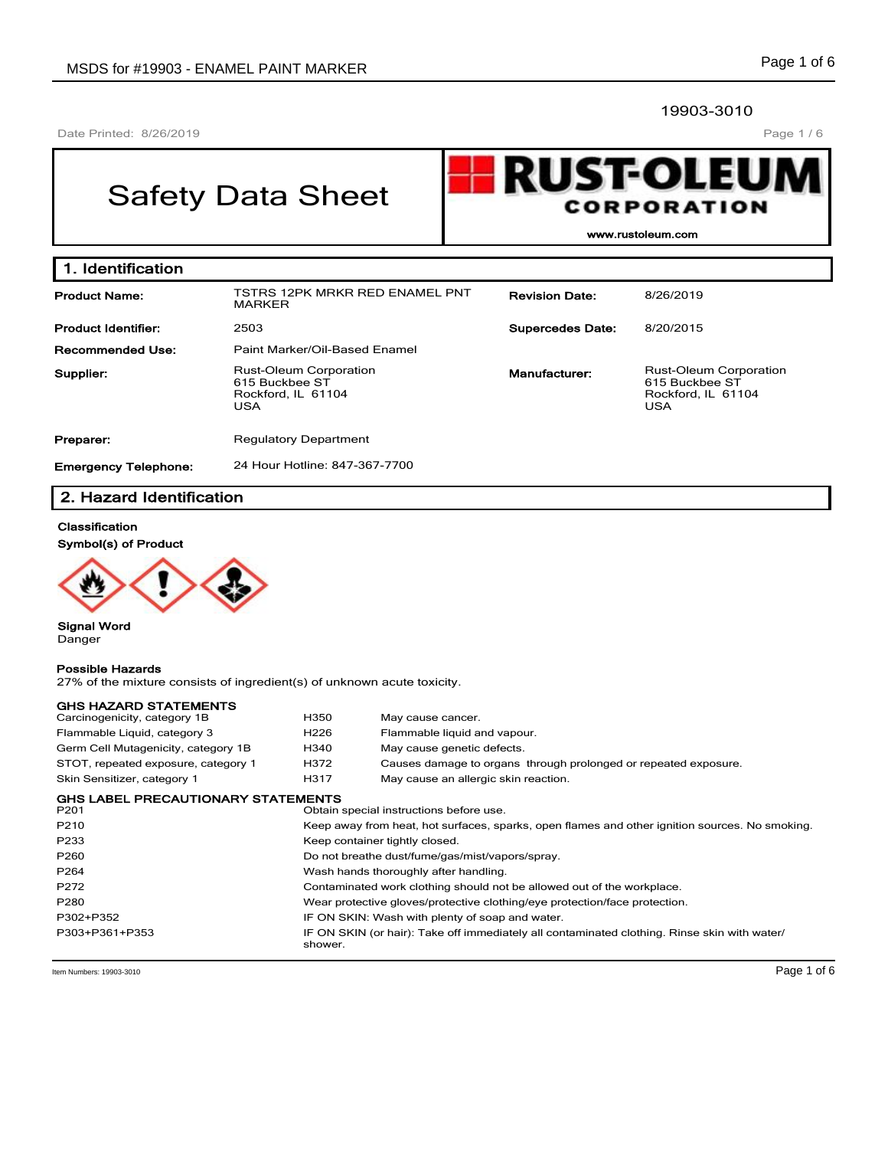## 19903-3010

Date Printed: 8/26/2019

Page 1 / 6

# Safety Data Sheet



**www.rustoleum.com**

| 1. Identification           |                                                                              |                         |                                                                                     |
|-----------------------------|------------------------------------------------------------------------------|-------------------------|-------------------------------------------------------------------------------------|
| <b>Product Name:</b>        | TSTRS 12PK MRKR RED ENAMEL PNT<br><b>MARKER</b>                              | <b>Revision Date:</b>   | 8/26/2019                                                                           |
| <b>Product Identifier:</b>  | 2503                                                                         | <b>Supercedes Date:</b> | 8/20/2015                                                                           |
| <b>Recommended Use:</b>     | Paint Marker/Oil-Based Enamel                                                |                         |                                                                                     |
| Supplier:                   | <b>Rust-Oleum Corporation</b><br>615 Buckbee ST<br>Rockford, IL 61104<br>USA | Manufacturer:           | <b>Rust-Oleum Corporation</b><br>615 Buckbee ST<br>Rockford, IL 61104<br><b>USA</b> |
| Preparer:                   | <b>Regulatory Department</b>                                                 |                         |                                                                                     |
| <b>Emergency Telephone:</b> | 24 Hour Hotline: 847-367-7700                                                |                         |                                                                                     |

# **2. Hazard Identification**

## **Classification**

**Symbol(s) of Product**



**Signal Word** Danger

#### **Possible Hazards**

27% of the mixture consists of ingredient(s) of unknown acute toxicity.

| GHS HAZARD STATEMENTS<br>Carcinogenicity, category 1B | H350    | May cause cancer.                                                                              |  |  |  |  |
|-------------------------------------------------------|---------|------------------------------------------------------------------------------------------------|--|--|--|--|
| Flammable Liquid, category 3                          | H226    | Flammable liquid and vapour.                                                                   |  |  |  |  |
| Germ Cell Mutagenicity, category 1B                   | H340    | May cause genetic defects.                                                                     |  |  |  |  |
| STOT, repeated exposure, category 1                   | H372    | Causes damage to organs through prolonged or repeated exposure.                                |  |  |  |  |
| Skin Sensitizer, category 1                           | H317    | May cause an allergic skin reaction.                                                           |  |  |  |  |
| GHS LABEL PRECAUTIONARY STATEMENTS                    |         |                                                                                                |  |  |  |  |
| P201                                                  |         | Obtain special instructions before use.                                                        |  |  |  |  |
| P210                                                  |         | Keep away from heat, hot surfaces, sparks, open flames and other ignition sources. No smoking. |  |  |  |  |
| P233                                                  |         | Keep container tightly closed.                                                                 |  |  |  |  |
| P260                                                  |         | Do not breathe dust/fume/gas/mist/vapors/spray.                                                |  |  |  |  |
| P264                                                  |         | Wash hands thoroughly after handling.                                                          |  |  |  |  |
| P272                                                  |         | Contaminated work clothing should not be allowed out of the workplace.                         |  |  |  |  |
| P280                                                  |         | Wear protective gloves/protective clothing/eye protection/face protection.                     |  |  |  |  |
| P302+P352                                             |         | IF ON SKIN: Wash with plenty of soap and water.                                                |  |  |  |  |
| P303+P361+P353                                        | shower. | IF ON SKIN (or hair): Take off immediately all contaminated clothing. Rinse skin with water/   |  |  |  |  |

Item Numbers: 19903-3010 Page 1 of 6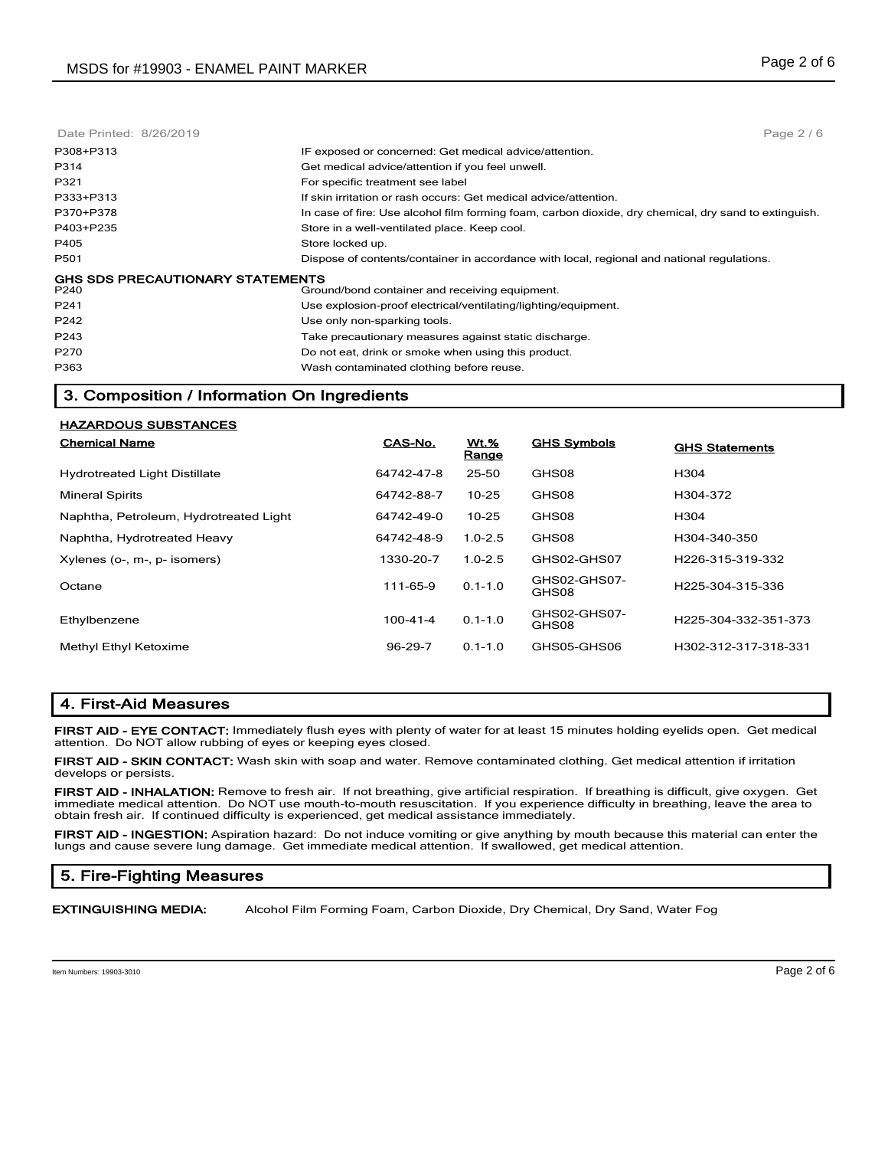| Date Printed: 8/26/2019                 | Page $2/6$                                                                                            |
|-----------------------------------------|-------------------------------------------------------------------------------------------------------|
| P308+P313                               | IF exposed or concerned: Get medical advice/attention.                                                |
| P314                                    | Get medical advice/attention if you feel unwell.                                                      |
| P321                                    | For specific treatment see label                                                                      |
| P333+P313                               | If skin irritation or rash occurs: Get medical advice/attention.                                      |
| P370+P378                               | In case of fire: Use alcohol film forming foam, carbon dioxide, dry chemical, dry sand to extinguish. |
| P403+P235                               | Store in a well-ventilated place. Keep cool.                                                          |
| P405                                    | Store locked up.                                                                                      |
| P <sub>501</sub>                        | Dispose of contents/container in accordance with local, regional and national regulations.            |
| <b>GHS SDS PRECAUTIONARY STATEMENTS</b> |                                                                                                       |
| P240                                    | Ground/bond container and receiving equipment.                                                        |
| P <sub>241</sub>                        | Use explosion-proof electrical/ventilating/lighting/equipment.                                        |
| P242                                    | Use only non-sparking tools.                                                                          |
| P243                                    | Take precautionary measures against static discharge.                                                 |
| P270                                    | Do not eat, drink or smoke when using this product.                                                   |
| P363                                    | Wash contaminated clothing before reuse.                                                              |

## **3. Composition / Information On Ingredients**

#### **HAZARDOUS SUBSTANCES**

| <b>Chemical Name</b>                   | CAS-No.        | <b>Wt.%</b><br>Range | <b>GHS Symbols</b>    | <b>GHS Statements</b> |
|----------------------------------------|----------------|----------------------|-----------------------|-----------------------|
| <b>Hydrotreated Light Distillate</b>   | 64742-47-8     | 25-50                | GHS08                 | H304                  |
| <b>Mineral Spirits</b>                 | 64742-88-7     | $10 - 25$            | GHS08                 | H304-372              |
| Naphtha, Petroleum, Hydrotreated Light | 64742-49-0     | $10 - 25$            | GHS08                 | H304                  |
| Naphtha, Hydrotreated Heavy            | 64742-48-9     | $1.0 - 2.5$          | GHS08                 | H304-340-350          |
| Xylenes (o-, m-, p- isomers)           | 1330-20-7      | $1.0 - 2.5$          | GHS02-GHS07           | H226-315-319-332      |
| Octane                                 | 111-65-9       | $0.1 - 1.0$          | GHS02-GHS07-<br>GHS08 | H225-304-315-336      |
| Ethylbenzene                           | $100 - 41 - 4$ | $0.1 - 1.0$          | GHS02-GHS07-<br>GHS08 | H225-304-332-351-373  |
| Methyl Ethyl Ketoxime                  | $96 - 29 - 7$  | $0.1 - 1.0$          | GHS05-GHS06           | H302-312-317-318-331  |

## **4. First-Aid Measures**

**FIRST AID - EYE CONTACT:** Immediately flush eyes with plenty of water for at least 15 minutes holding eyelids open. Get medical attention. Do NOT allow rubbing of eyes or keeping eyes closed.

**FIRST AID - SKIN CONTACT:** Wash skin with soap and water. Remove contaminated clothing. Get medical attention if irritation develops or persists.

**FIRST AID - INHALATION:** Remove to fresh air. If not breathing, give artificial respiration. If breathing is difficult, give oxygen. Get immediate medical attention. Do NOT use mouth-to-mouth resuscitation. If you experience difficulty in breathing, leave the area to obtain fresh air. If continued difficulty is experienced, get medical assistance immediately.

**FIRST AID - INGESTION:** Aspiration hazard: Do not induce vomiting or give anything by mouth because this material can enter the lungs and cause severe lung damage. Get immediate medical attention. If swallowed, get medical attention.

## **5. Fire-Fighting Measures**

**EXTINGUISHING MEDIA:** Alcohol Film Forming Foam, Carbon Dioxide, Dry Chemical, Dry Sand, Water Fog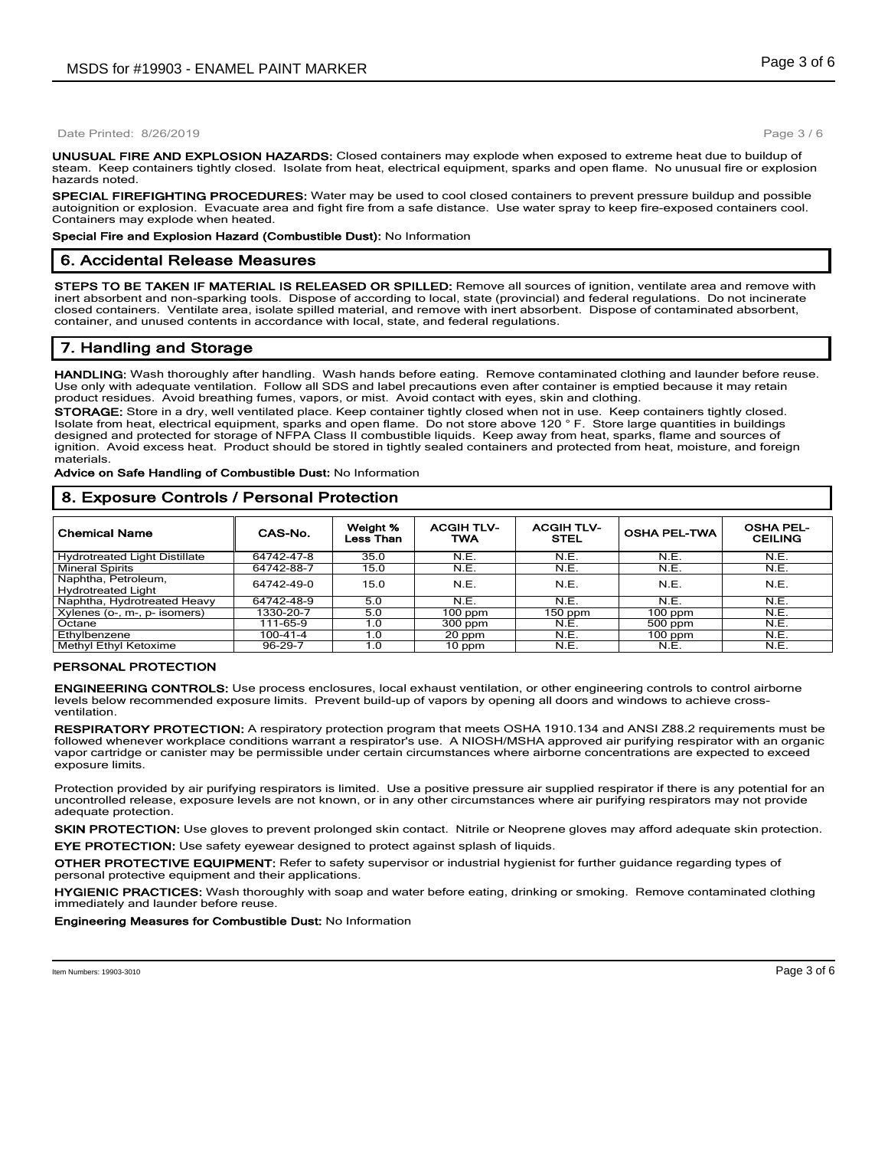#### Date Printed: 8/26/2019

Page 3 / 6

**UNUSUAL FIRE AND EXPLOSION HAZARDS:** Closed containers may explode when exposed to extreme heat due to buildup of steam. Keep containers tightly closed. Isolate from heat, electrical equipment, sparks and open flame. No unusual fire or explosion hazards noted.

**SPECIAL FIREFIGHTING PROCEDURES:** Water may be used to cool closed containers to prevent pressure buildup and possible autoignition or explosion. Evacuate area and fight fire from a safe distance. Use water spray to keep fire-exposed containers cool. Containers may explode when heated.

**Special Fire and Explosion Hazard (Combustible Dust):** No Information

#### **6. Accidental Release Measures**

**STEPS TO BE TAKEN IF MATERIAL IS RELEASED OR SPILLED:** Remove all sources of ignition, ventilate area and remove with inert absorbent and non-sparking tools. Dispose of according to local, state (provincial) and federal regulations. Do not incinerate closed containers. Ventilate area, isolate spilled material, and remove with inert absorbent. Dispose of contaminated absorbent, container, and unused contents in accordance with local, state, and federal regulations.

# **7. Handling and Storage**

**HANDLING:** Wash thoroughly after handling. Wash hands before eating. Remove contaminated clothing and launder before reuse. Use only with adequate ventilation. Follow all SDS and label precautions even after container is emptied because it may retain product residues. Avoid breathing fumes, vapors, or mist. Avoid contact with eyes, skin and clothing.

**STORAGE:** Store in a dry, well ventilated place. Keep container tightly closed when not in use. Keep containers tightly closed. Isolate from heat, electrical equipment, sparks and open flame. Do not store above 120 ° F. Store large quantities in buildings designed and protected for storage of NFPA Class II combustible liquids. Keep away from heat, sparks, flame and sources of ignition. Avoid excess heat. Product should be stored in tightly sealed containers and protected from heat, moisture, and foreign materials.

**Advice on Safe Handling of Combustible Dust:** No Information

## **8. Exposure Controls / Personal Protection**

| <b>Chemical Name</b>                             | CAS-No.    | Weight %<br>Less Than | <b>ACGIH TLV-</b><br>TWA | <b>ACGIH TLV-</b><br><b>STEL</b> | <b>OSHA PEL-TWA</b> | <b>OSHA PEL-</b><br><b>CEILING</b> |
|--------------------------------------------------|------------|-----------------------|--------------------------|----------------------------------|---------------------|------------------------------------|
| <b>Hydrotreated Light Distillate</b>             | 64742-47-8 | 35.0                  | N.E.                     | N.E.                             | N.E.                | N.E.                               |
| <b>Mineral Spirits</b>                           | 64742-88-7 | 15.0                  | N.E.                     | N.E.                             | N.E.                | N.E.                               |
| Naphtha, Petroleum,<br><b>Hydrotreated Light</b> | 64742-49-0 | 15.0                  | N.E.                     | N.E.                             | N.E.                | N.E.                               |
| Naphtha, Hydrotreated Heavy                      | 64742-48-9 | 5.0                   | N.E.                     | N.E.                             | N.E.                | N.E.                               |
| Xylenes (o-, m-, p- isomers)                     | 1330-20-7  | 5.0                   | $100$ ppm                | $150$ ppm                        | $100$ ppm           | N.E.                               |
| Octane                                           | 111-65-9   | 1.0                   | $300$ ppm                | N.E.                             | 500 ppm             | N.E.                               |
| Ethylbenzene                                     | 100-41-4   | 1.0                   | 20 ppm                   | N.E.                             | 100 ppm             | N.E.                               |
| Methyl Ethyl Ketoxime                            | 96-29-7    | 1.0                   | 10 ppm                   | N.E.                             | N.E.                | N.E.                               |

#### **PERSONAL PROTECTION**

**ENGINEERING CONTROLS:** Use process enclosures, local exhaust ventilation, or other engineering controls to control airborne levels below recommended exposure limits. Prevent build-up of vapors by opening all doors and windows to achieve crossventilation.

**RESPIRATORY PROTECTION:** A respiratory protection program that meets OSHA 1910.134 and ANSI Z88.2 requirements must be followed whenever workplace conditions warrant a respirator's use. A NIOSH/MSHA approved air purifying respirator with an organic vapor cartridge or canister may be permissible under certain circumstances where airborne concentrations are expected to exceed exposure limits.

Protection provided by air purifying respirators is limited. Use a positive pressure air supplied respirator if there is any potential for an uncontrolled release, exposure levels are not known, or in any other circumstances where air purifying respirators may not provide adequate protection.

**SKIN PROTECTION:** Use gloves to prevent prolonged skin contact. Nitrile or Neoprene gloves may afford adequate skin protection.

**EYE PROTECTION:** Use safety eyewear designed to protect against splash of liquids.

**OTHER PROTECTIVE EQUIPMENT:** Refer to safety supervisor or industrial hygienist for further guidance regarding types of personal protective equipment and their applications.

**HYGIENIC PRACTICES:** Wash thoroughly with soap and water before eating, drinking or smoking. Remove contaminated clothing immediately and launder before reuse.

**Engineering Measures for Combustible Dust:** No Information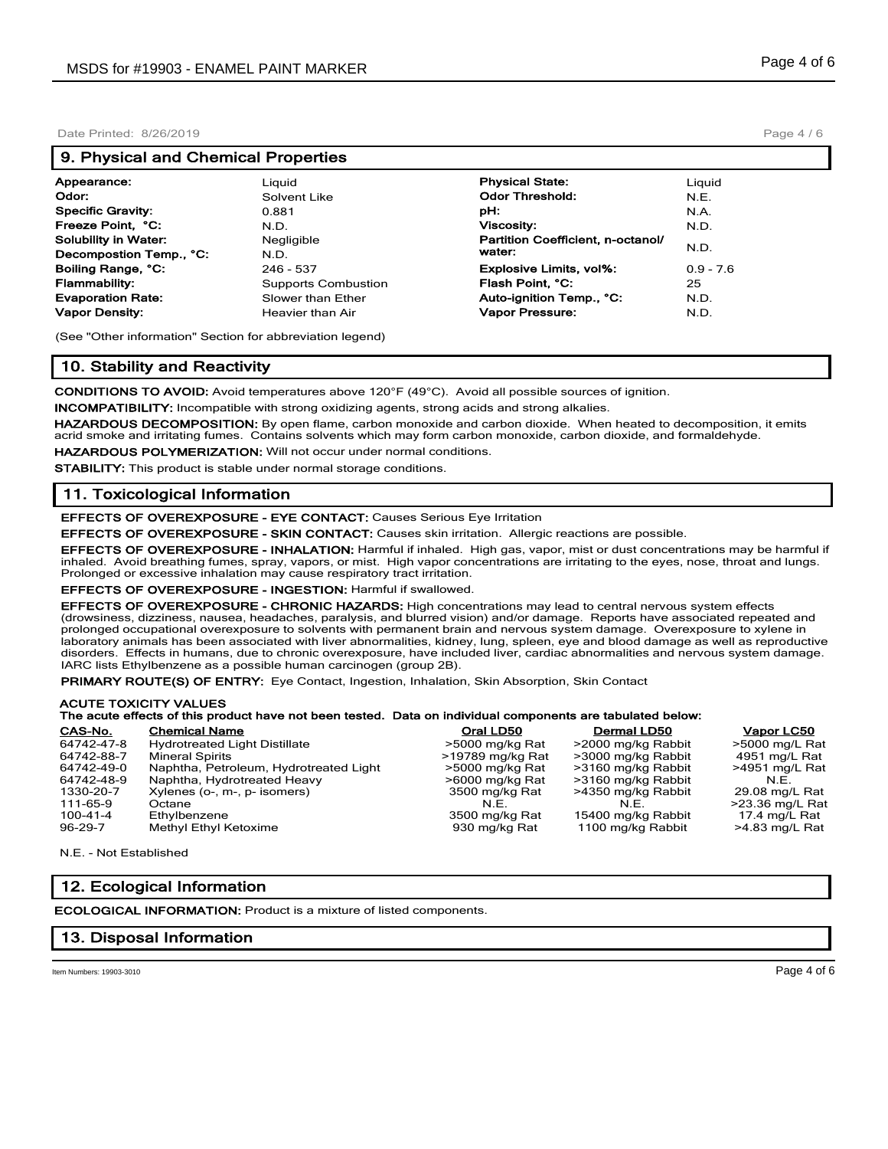#### Date Printed: 8/26/2019

#### **9. Physical and Chemical Properties**

| Appearance:              | Liguid                     | <b>Physical State:</b>            | Liguid      |
|--------------------------|----------------------------|-----------------------------------|-------------|
| Odor:                    | Solvent Like               | <b>Odor Threshold:</b>            | N.E.        |
| <b>Specific Gravity:</b> | 0.881                      | pH:                               | N.A.        |
| Freeze Point, °C:        | N.D.                       | <b>Viscosity:</b>                 | N.D.        |
| Solubility in Water:     | Negligible                 | Partition Coefficient, n-octanol/ | N.D.        |
| Decompostion Temp., °C:  | N.D.                       | water:                            |             |
| Boiling Range, °C:       | 246 - 537                  | <b>Explosive Limits, vol%:</b>    | $0.9 - 7.6$ |
| Flammability:            | <b>Supports Combustion</b> | Flash Point. °C:                  | 25          |
| <b>Evaporation Rate:</b> | Slower than Ether          | Auto-ignition Temp., °C:          | N.D.        |
| Vapor Density:           | Heavier than Air           | Vapor Pressure:                   | N.D.        |
|                          |                            |                                   |             |

(See "Other information" Section for abbreviation legend)

## **10. Stability and Reactivity**

**CONDITIONS TO AVOID:** Avoid temperatures above 120°F (49°C). Avoid all possible sources of ignition.

**INCOMPATIBILITY:** Incompatible with strong oxidizing agents, strong acids and strong alkalies.

**HAZARDOUS DECOMPOSITION:** By open flame, carbon monoxide and carbon dioxide. When heated to decomposition, it emits acrid smoke and irritating fumes. Contains solvents which may form carbon monoxide, carbon dioxide, and formaldehyde.

**HAZARDOUS POLYMERIZATION:** Will not occur under normal conditions.

**STABILITY:** This product is stable under normal storage conditions.

## **11. Toxicological Information**

**EFFECTS OF OVEREXPOSURE - EYE CONTACT:** Causes Serious Eye Irritation

**EFFECTS OF OVEREXPOSURE - SKIN CONTACT:** Causes skin irritation. Allergic reactions are possible.

**EFFECTS OF OVEREXPOSURE - INHALATION:** Harmful if inhaled. High gas, vapor, mist or dust concentrations may be harmful if inhaled. Avoid breathing fumes, spray, vapors, or mist. High vapor concentrations are irritating to the eyes, nose, throat and lungs. Prolonged or excessive inhalation may cause respiratory tract irritation.

#### **EFFECTS OF OVEREXPOSURE - INGESTION:** Harmful if swallowed.

**EFFECTS OF OVEREXPOSURE - CHRONIC HAZARDS:** High concentrations may lead to central nervous system effects (drowsiness, dizziness, nausea, headaches, paralysis, and blurred vision) and/or damage. Reports have associated repeated and prolonged occupational overexposure to solvents with permanent brain and nervous system damage. Overexposure to xylene in laboratory animals has been associated with liver abnormalities, kidney, lung, spleen, eye and blood damage as well as reproductive disorders. Effects in humans, due to chronic overexposure, have included liver, cardiac abnormalities and nervous system damage. IARC lists Ethylbenzene as a possible human carcinogen (group 2B).

**PRIMARY ROUTE(S) OF ENTRY:** Eye Contact, Ingestion, Inhalation, Skin Absorption, Skin Contact

# **ACUTE TOXICITY VALUES**

|            | The acute effects of this product have not been tested. Data on individual components are tabulated below: |                  |                    |                 |
|------------|------------------------------------------------------------------------------------------------------------|------------------|--------------------|-----------------|
| CAS-No.    | <b>Chemical Name</b>                                                                                       | Oral LD50        | <b>Dermal LD50</b> | Vapor LC50      |
| 64742-47-8 | <b>Hydrotreated Light Distillate</b>                                                                       | >5000 mg/kg Rat  | >2000 mg/kg Rabbit | >5000 mg/L Rat  |
| 64742-88-7 | <b>Mineral Spirits</b>                                                                                     | >19789 mg/kg Rat | >3000 mg/kg Rabbit | 4951 mg/L Rat   |
| 64742-49-0 | Naphtha, Petroleum, Hydrotreated Light                                                                     | >5000 mg/kg Rat  | >3160 mg/kg Rabbit | >4951 mg/L Rat  |
| 64742-48-9 | Naphtha, Hydrotreated Heavy                                                                                | >6000 mg/kg Rat  | >3160 mg/kg Rabbit | N F             |
| 1330-20-7  | Xylenes (o-, m-, p- isomers)                                                                               | 3500 mg/kg Rat   | >4350 mg/kg Rabbit | 29.08 mg/L Rat  |
| 111-65-9   | Octane                                                                                                     | N.E.             | N F                | >23.36 mg/L Rat |
| 100-41-4   | Ethylbenzene                                                                                               | 3500 mg/kg Rat   | 15400 mg/kg Rabbit | 17.4 mg/L Rat   |
| 96-29-7    | Methyl Ethyl Ketoxime                                                                                      | 930 mg/kg Rat    | 1100 mg/kg Rabbit  | >4.83 mg/L Rat  |

N.E. - Not Established

## **12. Ecological Information**

**ECOLOGICAL INFORMATION:** Product is a mixture of listed components.

## **13. Disposal Information**

Page 4 / 6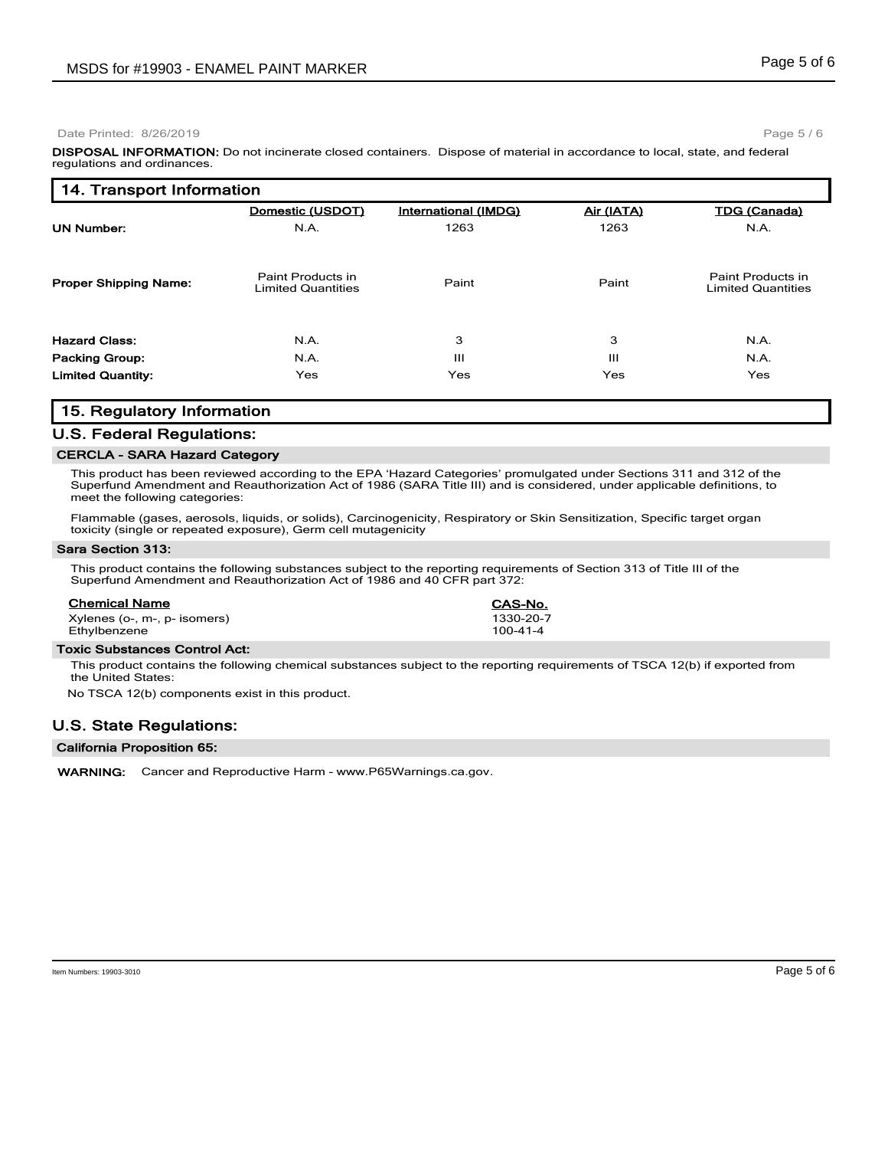Page 5 / 6

**DISPOSAL INFORMATION:** Do not incinerate closed containers. Dispose of material in accordance to local, state, and federal regulations and ordinances.

| 14. Transport Information    |                                                |                      |            |                                                |  |  |
|------------------------------|------------------------------------------------|----------------------|------------|------------------------------------------------|--|--|
|                              | Domestic (USDOT)                               | International (IMDG) | Air (IATA) | <b>TDG</b> (Canada)                            |  |  |
| <b>UN Number:</b>            | N.A.                                           | 1263                 | 1263       | N.A.                                           |  |  |
| <b>Proper Shipping Name:</b> | Paint Products in<br><b>Limited Quantities</b> | Paint                | Paint      | Paint Products in<br><b>Limited Quantities</b> |  |  |
| <b>Hazard Class:</b>         | N.A.                                           | 3                    | 3          | N.A.                                           |  |  |
| <b>Packing Group:</b>        | N.A.                                           | Ш                    | Ш          | N.A.                                           |  |  |
| <b>Limited Quantity:</b>     | Yes                                            | Yes                  | Yes        | Yes                                            |  |  |

## **15. Regulatory Information**

## **U.S. Federal Regulations:**

#### **CERCLA - SARA Hazard Category**

This product has been reviewed according to the EPA 'Hazard Categories' promulgated under Sections 311 and 312 of the Superfund Amendment and Reauthorization Act of 1986 (SARA Title III) and is considered, under applicable definitions, to meet the following categories:

Flammable (gases, aerosols, liquids, or solids), Carcinogenicity, Respiratory or Skin Sensitization, Specific target organ toxicity (single or repeated exposure), Germ cell mutagenicity

#### **Sara Section 313:**

This product contains the following substances subject to the reporting requirements of Section 313 of Title III of the Superfund Amendment and Reauthorization Act of 1986 and 40 CFR part 372:

| <b>Chemical Name</b>         | CAS-No.   |
|------------------------------|-----------|
| Xylenes (o-, m-, p- isomers) | 1330-20-7 |
| Ethylbenzene                 | 100-41-4  |

#### **Toxic Substances Control Act:**

This product contains the following chemical substances subject to the reporting requirements of TSCA 12(b) if exported from the United States:

No TSCA 12(b) components exist in this product.

## **U.S. State Regulations:**

## **California Proposition 65:**

**WARNING:** Cancer and Reproductive Harm - www.P65Warnings.ca.gov.